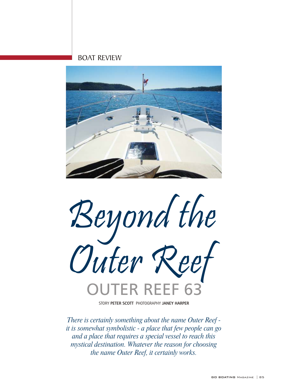## BOAT REVIEW





STORY **PETER SCOTT** PHOTOGRAPHY **JANEY HARPER**

*There is certainly something about the name Outer Reef it is somewhat symbolistic - a place that few people can go and a place that requires a special vessel to reach this mystical destination. Whatever the reason for choosing the name Outer Reef, it certainly works.*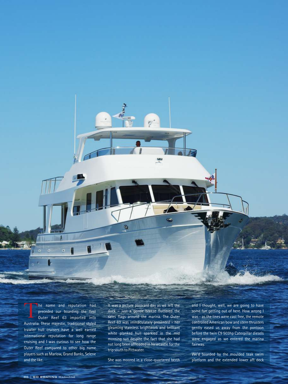T eruising and I was curious to see how the morning sun despite the fact that she had were entered the not long been offloaded in Newcastle for the fairway. Outer Reef compared to other big name<br>
players such as Marlow, Grand Banks, Selene<br>
trip south to Pittwater.

Ø.

he name and reputation had It was a picture postcard day as we left the and I thought, well, we are going to have preceded our boarding the first and dock - just a gentle breeze fluttered the some fun getting out of here. How wrong I Outer Reef 63 imported into sales flags around the marina. The Outer was - as the lines were cast free, the remote<br>In these majestic traditional styled Reef 63 was immaculately presented - her controlled American bow and s Australia. These majestic, traditional styled https://was immaculately presented - her https://was. These majestic, traditional styled https://was.immaculately presented - her https://wastralia. These majestic, traditional trawler hull cruisers have a well earned gleaming stainless brightwork and brilliant gently eased us away from the pontoon<br>the pontoonly required that we are a white planked hull sparkled in the mid before the twin C9 503h international reputation for long range and white planked hull sparkled in the mid before the twin C9 503hp Caterpillar diesels international reputation for long range and morning sun despite the fact that she had a were e

We'd boarded by the moulded teak swim and the like. She was moored in a close-quartered berth platform and the extended lower aft deck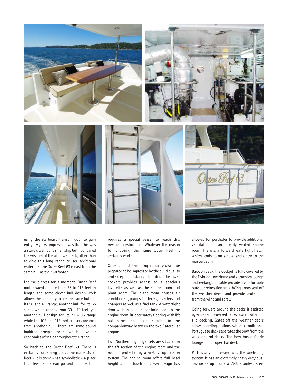

entry. My first impression was that this was mystical destination. Whatever the reason ventilation to an already vented engine a sturdy, well built small ship but I pondered for choosing the name Outer Reef, it room. There is a forward watertight hatch the wisdom of the aft lower deck, other than certainly works. which leads to an alcove and entry to the to give this long range cruiser additional<br>waterline. The Outer Reef 63 is cast from the 0nce aboard this long range cruiser, be master cabin. waterline. The Outer Reef 63 is cast from the Once aboard this long range cruiser, be<br>same hull as their 58 footer exact from the prepared to be impressed by the build quality

its 58 and 63 range, another hull for its 65 chargers as well as a fuel tank. A watertight economies of scale throughout the range. walk around decks. The bow has a fabric

same hull as their 58 footer. **Exercy constant of the impressed by the build quality** Back on deck, the cockpit is fully covered by same hull as their 58 footer.<br>and exceptional standard of fitout. The lower the flybridge Let me digress for a moment. Outer Reef cockpit provides access to a spacious and rectangular table provide a comfortable motor yachts range from 58 to 115 feet in lazarette as well as the engine room and outdoor relaxation area. Wing doors seal off length and some clever hull design work plant room. The plant room houses air the weather decks and provide protection allows the company to use the same hull for conditioners, pumps, batteries, inverters and from the wind and spray. series which ranges from 60 - 70 feet, yet door with inspection porthole leads to the Going forward around the decks is assisted another hull design for its 73 - 86 range engine room. Rubber safety flooring with lift by wide semi-covered decks coated with non while the 105 and 115 foot cruisers are cast out panels has been installed in the slip decking. Gates off the weather decks from another hull. There are some sound companionway between the two Caterpillar allow boarding options while a traditional building principles for this which allows for engines. The engines of the engine of the portuguese deck separates the bow from the

Two Northern Lights gensets are situated in lounge and an open flat deck. So back to the Outer Reef 63. There is the aft section of the engine room and the certainly something about the name Outer room is protected by a Fireboy suppression Particularly impressive was the anchoring Reef - it is somewhat symbolistic - a place system. The engine room offers full head system. It has an extremely heavy duty dual that few people can go and a place that height and a touch of clever design has anchor setup - one a 75lb stainless steel

using the starboard transom door to gain requires a special vessel to reach this allowed for portholes to provide additional

the flybridge overhang and a transom lounge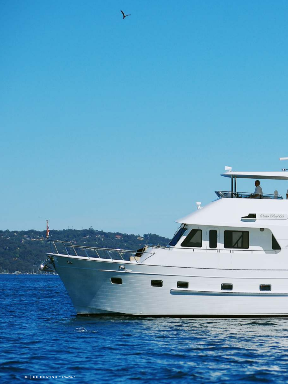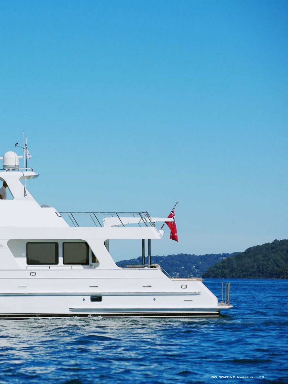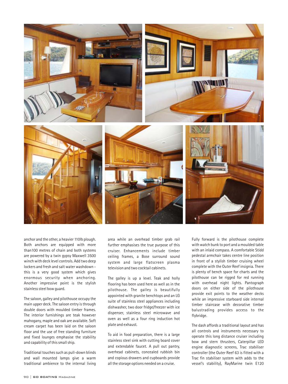

anchor and the other, a heavier 110lb plough. area while an overhead timber grab rail Fully forward is the pilothouse complete Both anchors are equipped with more further emphasises the true purpose of this with watch bunk to port and a moulded table than100 metres of chain and both systems cruiser. Enhancements include timber with an inlaid compass. A comfortable Stidd are powered by a twin gypsy Maxwell 3500 eeiling frames, a Bose surround sound pedestal armchair takes centre line position vinch with deck level controls. Add two deep system and large flatscreen plasma winch with deck level controls. Add two deep in system and large flatscreen plasma in front of a stylish timber cruising wheel system and large flatscreen plasma in front of a stylish timber cruising wheel in the Outer Ree lockers and fresh and salt water washdown - complete with the Outer Scheinets.<br>
this is a very good system which gives enormous security when anchoring. The galley is up a level. Teak and holly pilothouse can be rigged for red running<br>Another impressive point is the stylish flooring has been used here as well as in the with overhead night Another impressive point is the stylish flooring has been used here as well as in the with overhead night lights. Pantograph stainless steel bow quard.

double doors with moulded timber frames.<br>
The interior furnishings are teak however dispenser, stainless steel microwave and flybridge.<br>
mehogeny monic and onlockers with a series oven as well as a four ring induction hot mahogany, maple and oak are available. Soft well as well as a four-<br>cream carnet has been laid on the saloon and exhaust. exam carpet has been laid on the saloon and plate and exhaust.<br>
Floor and the use of free standing furniture all controls and instruments necessary to floor and the use of free standing furniture<br>and fixed lawnese smallesize the stability. To aid in food preparation, there is a large

and fixed lounges emphasise the stability and in tood preparation, there is a large and operate this long distance cruiser including fixed lounges emphasise the stability of the stability stainless steel sink with cutting and capability of this small ship. This is tainless steel sink with cutting board cover and stern thrusters, Caterpillar LED<br>and extendable faucet. A pull out pantry, the maine diagnostic screens. Trac stabiliser Traditional touches such as pull-down blinds overhead cabinets, concealed rubbish bin controller (the Outer Reef 63 is fitted with a and wall mounted lamps give a warm and copious drawers and cupboards provide Trac fin stabiliser system with adds to the traditional ambience to the internal living all the storage options needed on a cruise. vessel's stability), RayMarine twin E120

is plenty of bench space for charts and the stainless steel bow guard. <br>pilothouse bilothouse. The galley is beautifully alloors on either side of the pilothouse<br>provide exit points to the weather decks provide exit points to the weather decks appointed with granite benchtops and an LG The saloon, galley and pilothouse occupy the<br>
main upper deck. The saloon entry is through<br>
double doors with moulded timber frames.<br>
double doors with moulded timber frames.<br>
dishwasher, two door fridge/freezer with ice<br>

engine diagnostic screens, Trac stabiliser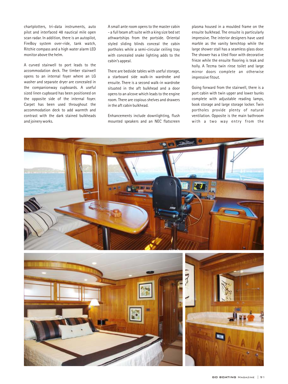chartplotters, tri-data instruments, auto A small ante room opens to the master cabin plasma housed in a moulded frame on the pilot and interfaced 48 nautical mile open - a full beam aft suite with a king size bed set ensuite bulkhead. The ensuite is particularly scan radar. In addition, there is an autopilot, athwartships from the portside. Oriental impressive. The interior designers have used FireBoy system over-ride, tank watch, styled sliding blinds conceal the cabin marble as the vanity benchtop while the Ritchie compass and a high water alarm LED portholes while a semi-circular ceiling tray large shower stall has a seamless glass door.

accommodation deck. The timber stairwell There are bedside tables with useful storage, mirror doors complete an otherwise opens to an internal foyer where an LG a starboard side walk-in wardrobe and impressive fitout opens to an internal foyer where an LG a starboard side walk-in wardrobe and impressive fitout.<br>washer and separate dryer are concealed in ensuite. There is a second walk-in wardrobe washer and separate dryer are concealed in ensuite. There is a second walk-in wardrobe<br>the companionway cupboards. A useful situated in the aft bulkhead and a door sized linen cupboard has been positioned on opens to an alcove which leads to the engine port cabin with twin upper and lower bunks<br>the opposite side of the internal foyer. There are conjous shelves and drawers complete wi the opposite side of the internal foyer. complement reading points and drawers<br>Carpet has been used throughout the complete are copious shelves and drawers Carpet has been used throughout the book storage and large storage locker. Twin Carpet has been used throughout the in the aft cabin bulkhead.<br>In the accommodation deck to add warmth and contrast with the dark stained bulkheads Enhancements include downlighting, flush ventilation. Opposite is the main bathroom and joinery works. The same section of the mounted speakers and an NEC flatscreen with a two way entry from the

monitor above the helm. with concealed snake lighting adds to the The shower has a tiled floor with decorative

situated in the aft bulkhead and a door Going forward from the stairwell, there is a

cabin's appeal. frieze while the ensuite flooring is teak and A curved stairwell to port leads to the<br>accommodation deck. The timber stairwell There are bedside tables with useful storage mirror doors complete an otherwise

portholes provide plenty of natural

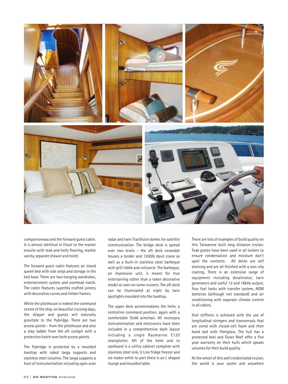

bed base. There are two hanging wardrobes, entertaining rather than a token decorative<br>entertainment system and overhead hatch. The cabin reatures superbly crafted joinery four fuel tanks with decorative curves and timber frames.

While the pilothouse is indeed the command<br>
entre of the ship, on beautiful cruising days,<br>
the upper deck accommodates the helm, a centre of the ship, on beautiful cruising days,<br>
entreline command position, again with a

hardtop with raked targa supports and

companionway and the forward guest cabin. radar and twin TracVision domes for satellite There are lots of examples of build quality on It is almost identical in fitout to the master communication. The bridge deck is spread this Taiwanese built long distance cruiser. ensuite with teak and holly flooring, marble over two levels - the aft deck verandah Teak grates have been used in all lockers to vanity, separate shower and toilet. houses a tender and 1200lb davit crane as ensure condensation and moisture don't well as a built-in stainless steel barbeque spoil the contents. All decks are self The forward guest cabin features an island<br>queen bed with side steps and storage in the the time and improceive unit, is meant for true to coating. There is an extensive range of queen bed with side steps and storage in the coating in impressive unit, is meant for true coating. There is an extensive range of an impressive unit, is meant for true coating. There is an extensive range of bed base. The entertainment system and overhead hatch.<br>The cabin features superbly crafted joinery<br>
an he illuminated at night by twin four fuel tanks with transfer system, AGM

entreline command position, again with a<br>the skipper and guests will naturally<br>gravitate to the flybridge. There are two<br>gravitate to the flybridge. There are two<br>instrumentation and electronics have been<br>access points fro access points - from the pilothouse and also instrumentation and electronics have been are cored with closed-cell foam and then included in a comprehensive dash layout a step ladder from the aft cockpit with a comprehensive dash layout a hand laid with fibreglass. The hull has a including a single Raymarine E120 protection hatch over both access points.<br>chartplotter. Aft of the helm and to protected keel and Outer Reef offer a five<br>chartplotter. Aft of the helm and to chartplotter. Aft of the helm and to year warranty on their hulls which speaks starboard is a utility cabinet complete with volumes for their huild quality. The flybridge is protected by a moulded starboard is a utility cabinet complete with volumes for their build quality.<br>hardtop with raked targa supports and stainless steel sink, U Line fridge freezer and stainless steel columns. The targa supports a ice maker while to port there is an L shaped At the wheel of this well credentialed cruiser, host of instrumentation including open scan lounge and moulded table. The morid is your oyster and anywhere

with decorative curves and times. Batteries (although not standard) and air spotlights moulded into the hardtop. conditioning with separate climate control